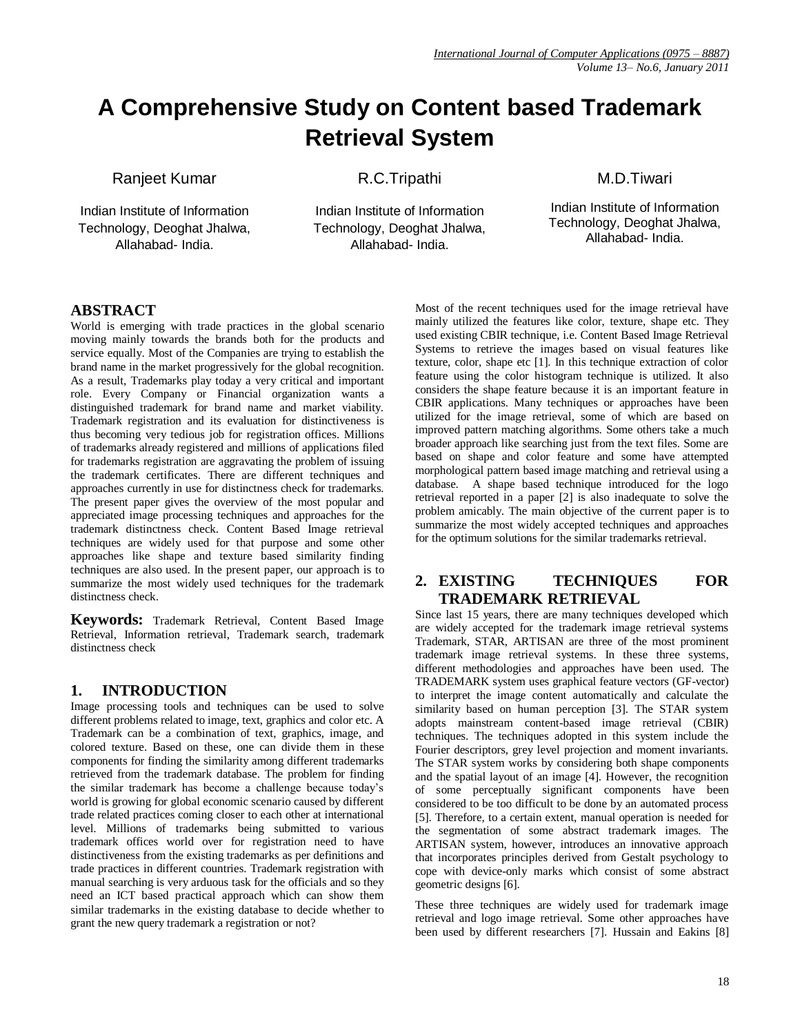# **A Comprehensive Study on Content based Trademark Retrieval System**

Ranjeet Kumar

Indian Institute of Information Technology, Deoghat Jhalwa, Allahabad- India.

R.C.Tripathi

Indian Institute of Information Technology, Deoghat Jhalwa, Allahabad- India.

M.D.Tiwari

Indian Institute of Information Technology, Deoghat Jhalwa, Allahabad- India.

# **ABSTRACT**

World is emerging with trade practices in the global scenario moving mainly towards the brands both for the products and service equally. Most of the Companies are trying to establish the brand name in the market progressively for the global recognition. As a result, Trademarks play today a very critical and important role. Every Company or Financial organization wants a distinguished trademark for brand name and market viability. Trademark registration and its evaluation for distinctiveness is thus becoming very tedious job for registration offices. Millions of trademarks already registered and millions of applications filed for trademarks registration are aggravating the problem of issuing the trademark certificates. There are different techniques and approaches currently in use for distinctness check for trademarks. The present paper gives the overview of the most popular and appreciated image processing techniques and approaches for the trademark distinctness check. Content Based Image retrieval techniques are widely used for that purpose and some other approaches like shape and texture based similarity finding techniques are also used. In the present paper, our approach is to summarize the most widely used techniques for the trademark distinctness check.

**Keywords:** Trademark Retrieval, Content Based Image Retrieval, Information retrieval, Trademark search, trademark distinctness check

# **1. INTRODUCTION**

Image processing tools and techniques can be used to solve different problems related to image, text, graphics and color etc. A Trademark can be a combination of text, graphics, image, and colored texture. Based on these, one can divide them in these components for finding the similarity among different trademarks retrieved from the trademark database. The problem for finding the similar trademark has become a challenge because today"s world is growing for global economic scenario caused by different trade related practices coming closer to each other at international level. Millions of trademarks being submitted to various trademark offices world over for registration need to have distinctiveness from the existing trademarks as per definitions and trade practices in different countries. Trademark registration with manual searching is very arduous task for the officials and so they need an ICT based practical approach which can show them similar trademarks in the existing database to decide whether to grant the new query trademark a registration or not?

Most of the recent techniques used for the image retrieval have mainly utilized the features like color, texture, shape etc. They used existing CBIR technique, i.e. Content Based Image Retrieval Systems to retrieve the images based on visual features like texture, color, shape etc [1]. In this technique extraction of color feature using the color histogram technique is utilized. It also considers the shape feature because it is an important feature in CBIR applications. Many techniques or approaches have been utilized for the image retrieval, some of which are based on improved pattern matching algorithms. Some others take a much broader approach like searching just from the text files. Some are based on shape and color feature and some have attempted morphological pattern based image matching and retrieval using a database. A shape based technique introduced for the logo retrieval reported in a paper [2] is also inadequate to solve the problem amicably. The main objective of the current paper is to summarize the most widely accepted techniques and approaches for the optimum solutions for the similar trademarks retrieval.

## **2. EXISTING TECHNIQUES FOR TRADEMARK RETRIEVAL**

Since last 15 years, there are many techniques developed which are widely accepted for the trademark image retrieval systems Trademark, STAR, ARTISAN are three of the most prominent trademark image retrieval systems. In these three systems, different methodologies and approaches have been used. The TRADEMARK system uses graphical feature vectors (GF-vector) to interpret the image content automatically and calculate the similarity based on human perception [3]. The STAR system adopts mainstream content-based image retrieval (CBIR) techniques. The techniques adopted in this system include the Fourier descriptors, grey level projection and moment invariants. The STAR system works by considering both shape components and the spatial layout of an image [4]. However, the recognition of some perceptually significant components have been considered to be too difficult to be done by an automated process [5]. Therefore, to a certain extent, manual operation is needed for the segmentation of some abstract trademark images. The ARTISAN system, however, introduces an innovative approach that incorporates principles derived from Gestalt psychology to cope with device-only marks which consist of some abstract geometric designs [6].

These three techniques are widely used for trademark image retrieval and logo image retrieval. Some other approaches have been used by different researchers [7]. Hussain and Eakins [8]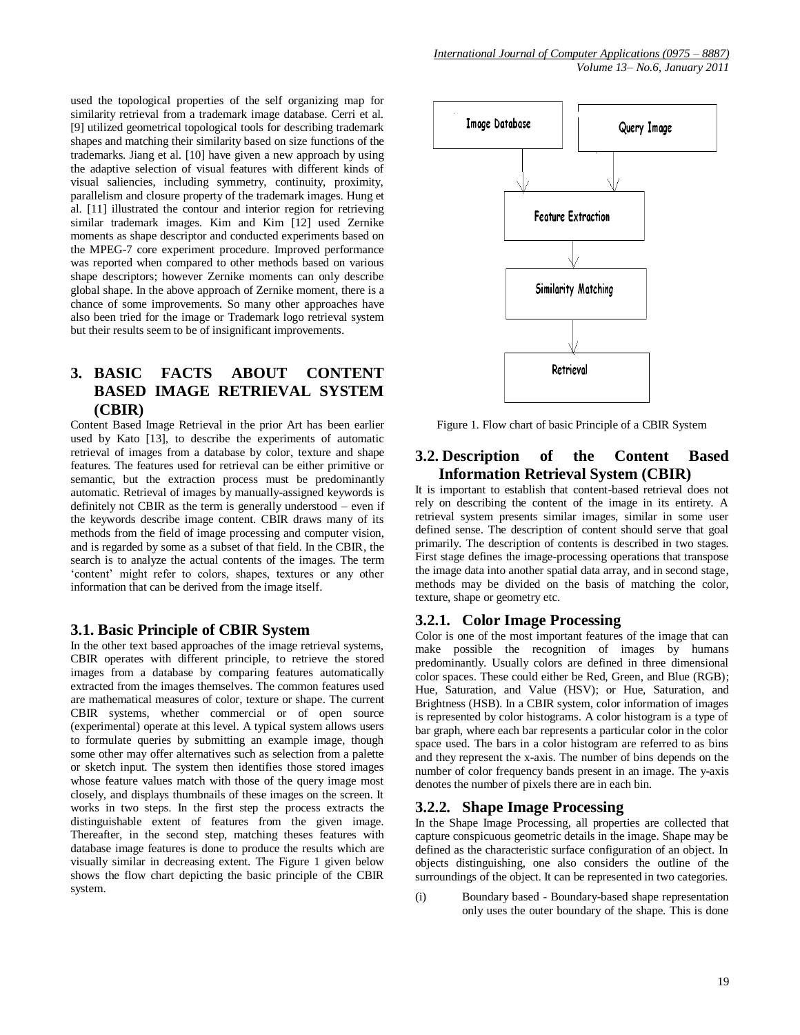used the topological properties of the self organizing map for similarity retrieval from a trademark image database. Cerri et al. [9] utilized geometrical topological tools for describing trademark shapes and matching their similarity based on size functions of the trademarks. Jiang et al. [10] have given a new approach by using the adaptive selection of visual features with different kinds of visual saliencies, including symmetry, continuity, proximity, parallelism and closure property of the trademark images. Hung et al. [11] illustrated the contour and interior region for retrieving similar trademark images. Kim and Kim [12] used Zernike moments as shape descriptor and conducted experiments based on the MPEG-7 core experiment procedure. Improved performance was reported when compared to other methods based on various shape descriptors; however Zernike moments can only describe global shape. In the above approach of Zernike moment, there is a chance of some improvements. So many other approaches have also been tried for the image or Trademark logo retrieval system but their results seem to be of insignificant improvements.

# **3. BASIC FACTS ABOUT CONTENT BASED IMAGE RETRIEVAL SYSTEM (CBIR)**

Content Based Image Retrieval in the prior Art has been earlier used by Kato [13], to describe the experiments of automatic retrieval of images from a database by color, texture and shape features. The features used for retrieval can be either primitive or semantic, but the extraction process must be predominantly automatic. Retrieval of images by manually-assigned keywords is definitely not CBIR as the term is generally understood – even if the keywords describe image content. CBIR draws many of its methods from the field of image processing and computer vision, and is regarded by some as a subset of that field. In the CBIR, the search is to analyze the actual contents of the images. The term 'content' might refer to colors, shapes, textures or any other information that can be derived from the image itself.

## **3.1. Basic Principle of CBIR System**

In the other text based approaches of the image retrieval systems, CBIR operates with different principle, to retrieve the stored images from a database by comparing features automatically extracted from the images themselves. The common features used are mathematical measures of color, texture or shape. The current CBIR systems, whether commercial or of open source (experimental) operate at this level. A typical system allows users to formulate queries by submitting an example image, though some other may offer alternatives such as selection from a palette or sketch input. The system then identifies those stored images whose feature values match with those of the query image most closely, and displays thumbnails of these images on the screen. It works in two steps. In the first step the process extracts the distinguishable extent of features from the given image. Thereafter, in the second step, matching theses features with database image features is done to produce the results which are visually similar in decreasing extent. The Figure 1 given below shows the flow chart depicting the basic principle of the CBIR system.



Figure 1. Flow chart of basic Principle of a CBIR System

## **3.2. Description of the Content Based Information Retrieval System (CBIR)**

It is important to establish that content-based retrieval does not rely on describing the content of the image in its entirety. A retrieval system presents similar images, similar in some user defined sense. The description of content should serve that goal primarily. The description of contents is described in two stages. First stage defines the image-processing operations that transpose the image data into another spatial data array, and in second stage, methods may be divided on the basis of matching the color, texture, shape or geometry etc.

# **3.2.1. Color Image Processing**

Color is one of the most important features of the image that can make possible the recognition of images by humans predominantly. Usually colors are defined in three dimensional color spaces. These could either be Red, Green, and Blue (RGB); Hue, Saturation, and Value (HSV); or Hue, Saturation, and Brightness (HSB). In a CBIR system, color information of images is represented by color histograms. A color histogram is a type of bar graph, where each bar represents a particular color in the color space used. The bars in a color histogram are referred to as bins and they represent the x-axis. The number of bins depends on the number of color frequency bands present in an image. The y-axis denotes the number of pixels there are in each bin.

# **3.2.2. Shape Image Processing**

In the Shape Image Processing, all properties are collected that capture conspicuous geometric details in the image. Shape may be defined as the characteristic surface configuration of an object. In objects distinguishing, one also considers the outline of the surroundings of the object. It can be represented in two categories.

(i) Boundary based - Boundary-based shape representation only uses the outer boundary of the shape. This is done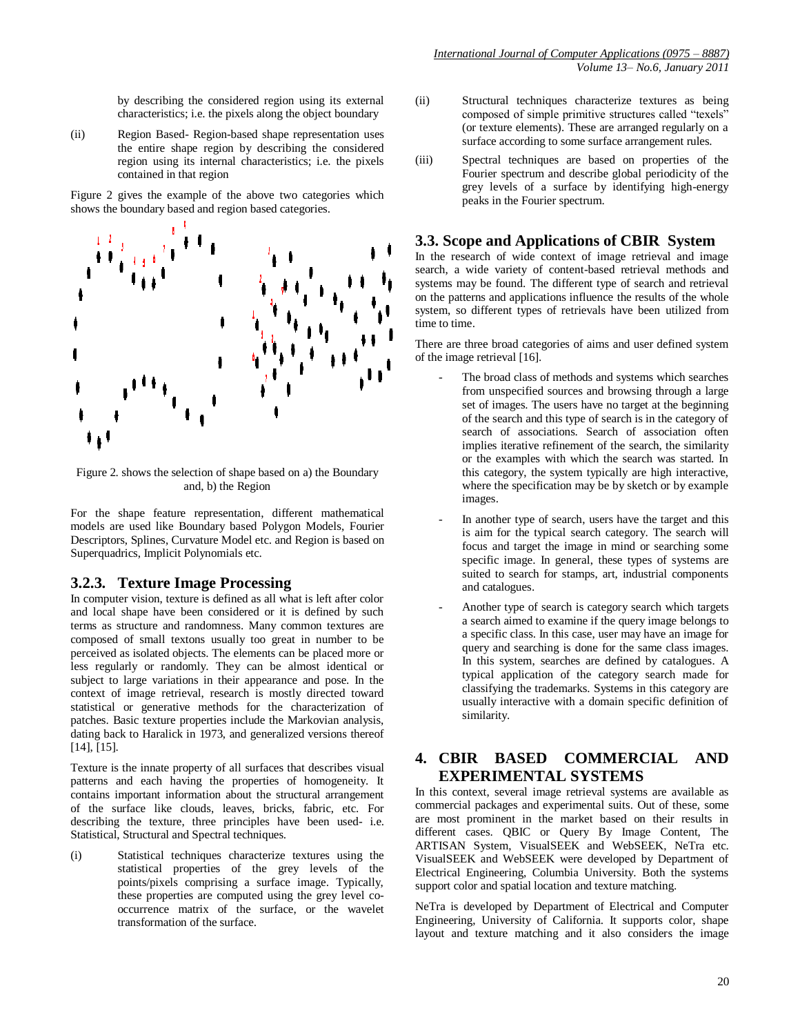by describing the considered region using its external characteristics; i.e. the pixels along the object boundary

(ii) Region Based- Region-based shape representation uses the entire shape region by describing the considered region using its internal characteristics; i.e. the pixels contained in that region

Figure 2 gives the example of the above two categories which shows the boundary based and region based categories.



Figure 2. shows the selection of shape based on a) the Boundary and, b) the Region

For the shape feature representation, different mathematical models are used like Boundary based Polygon Models, Fourier Descriptors, Splines, Curvature Model etc. and Region is based on Superquadrics, Implicit Polynomials etc.

#### **3.2.3. Texture Image Processing**

In computer vision, texture is defined as all what is left after color and local shape have been considered or it is defined by such terms as structure and randomness. Many common textures are composed of small textons usually too great in number to be perceived as isolated objects. The elements can be placed more or less regularly or randomly. They can be almost identical or subject to large variations in their appearance and pose. In the context of image retrieval, research is mostly directed toward statistical or generative methods for the characterization of patches. Basic texture properties include the Markovian analysis, dating back to Haralick in 1973, and generalized versions thereof [14], [15].

Texture is the innate property of all surfaces that describes visual patterns and each having the properties of homogeneity. It contains important information about the structural arrangement of the surface like clouds, leaves, bricks, fabric, etc. For describing the texture, three principles have been used- i.e. Statistical, Structural and Spectral techniques.

(i) Statistical techniques characterize textures using the statistical properties of the grey levels of the points/pixels comprising a surface image. Typically, these properties are computed using the grey level cooccurrence matrix of the surface, or the wavelet transformation of the surface.

- (ii) Structural techniques characterize textures as being composed of simple primitive structures called "texels" (or texture elements). These are arranged regularly on a surface according to some surface arrangement rules.
- (iii) Spectral techniques are based on properties of the Fourier spectrum and describe global periodicity of the grey levels of a surface by identifying high-energy peaks in the Fourier spectrum.

#### **3.3. Scope and Applications of CBIR System**

In the research of wide context of image retrieval and image search, a wide variety of content-based retrieval methods and systems may be found. The different type of search and retrieval on the patterns and applications influence the results of the whole system, so different types of retrievals have been utilized from time to time.

There are three broad categories of aims and user defined system of the image retrieval [16].

- The broad class of methods and systems which searches from unspecified sources and browsing through a large set of images. The users have no target at the beginning of the search and this type of search is in the category of search of associations. Search of association often implies iterative refinement of the search, the similarity or the examples with which the search was started. In this category, the system typically are high interactive, where the specification may be by sketch or by example images.
- In another type of search, users have the target and this is aim for the typical search category. The search will focus and target the image in mind or searching some specific image. In general, these types of systems are suited to search for stamps, art, industrial components and catalogues.
- Another type of search is category search which targets a search aimed to examine if the query image belongs to a specific class. In this case, user may have an image for query and searching is done for the same class images. In this system, searches are defined by catalogues. A typical application of the category search made for classifying the trademarks. Systems in this category are usually interactive with a domain specific definition of similarity.

## **4. CBIR BASED COMMERCIAL AND EXPERIMENTAL SYSTEMS**

In this context, several image retrieval systems are available as commercial packages and experimental suits. Out of these, some are most prominent in the market based on their results in different cases. QBIC or Query By Image Content, The ARTISAN System, VisualSEEK and WebSEEK, NeTra etc. VisualSEEK and WebSEEK were developed by Department of Electrical Engineering, Columbia University. Both the systems support color and spatial location and texture matching.

NeTra is developed by Department of Electrical and Computer Engineering, University of California. It supports color, shape layout and texture matching and it also considers the image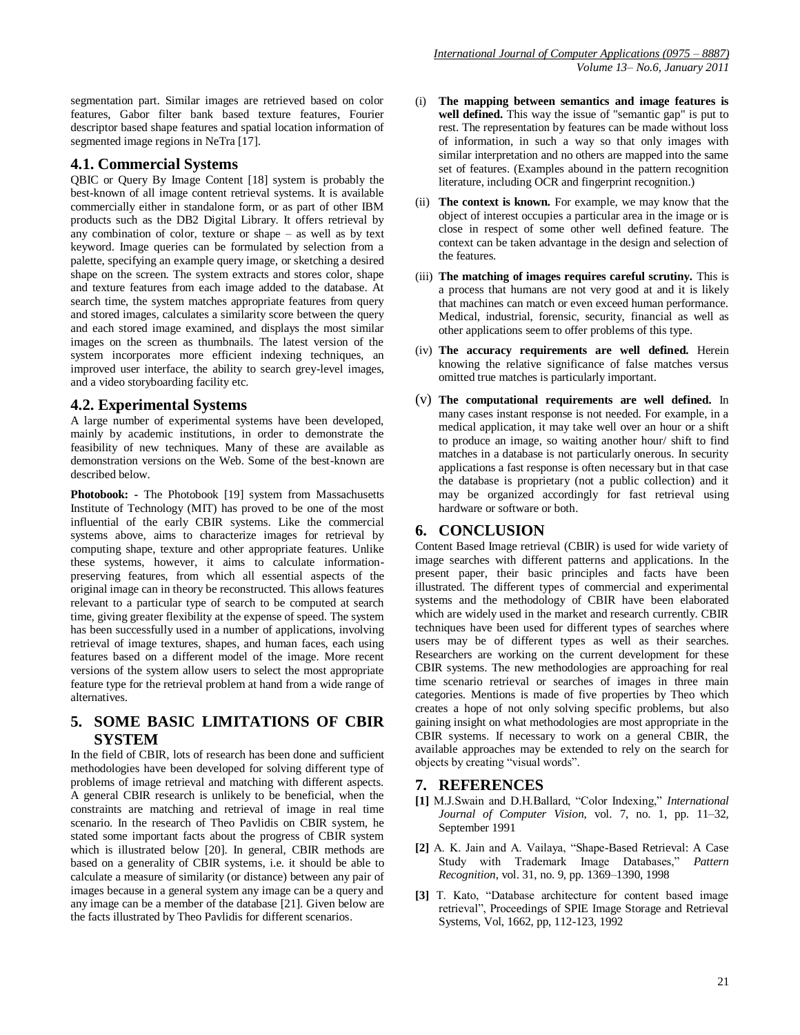segmentation part. Similar images are retrieved based on color features, Gabor filter bank based texture features, Fourier descriptor based shape features and spatial location information of segmented image regions in NeTra [17].

## **4.1. Commercial Systems**

QBIC or Query By Image Content [18] system is probably the best-known of all image content retrieval systems. It is available commercially either in standalone form, or as part of other IBM products such as the DB2 Digital Library. It offers retrieval by any combination of color, texture or shape – as well as by text keyword. Image queries can be formulated by selection from a palette, specifying an example query image, or sketching a desired shape on the screen. The system extracts and stores color, shape and texture features from each image added to the database. At search time, the system matches appropriate features from query and stored images, calculates a similarity score between the query and each stored image examined, and displays the most similar images on the screen as thumbnails. The latest version of the system incorporates more efficient indexing techniques, an improved user interface, the ability to search grey-level images, and a video storyboarding facility etc.

## **4.2. Experimental Systems**

A large number of experimental systems have been developed, mainly by academic institutions, in order to demonstrate the feasibility of new techniques. Many of these are available as demonstration versions on the Web. Some of the best-known are described below.

**Photobook: -** The Photobook [19] system from Massachusetts Institute of Technology (MIT) has proved to be one of the most influential of the early CBIR systems. Like the commercial systems above, aims to characterize images for retrieval by computing shape, texture and other appropriate features. Unlike these systems, however, it aims to calculate informationpreserving features, from which all essential aspects of the original image can in theory be reconstructed. This allows features relevant to a particular type of search to be computed at search time, giving greater flexibility at the expense of speed. The system has been successfully used in a number of applications, involving retrieval of image textures, shapes, and human faces, each using features based on a different model of the image. More recent versions of the system allow users to select the most appropriate feature type for the retrieval problem at hand from a wide range of alternatives.

# **5. SOME BASIC LIMITATIONS OF CBIR SYSTEM**

In the field of CBIR, lots of research has been done and sufficient methodologies have been developed for solving different type of problems of image retrieval and matching with different aspects. A general CBIR research is unlikely to be beneficial, when the constraints are matching and retrieval of image in real time scenario. In the research of Theo Pavlidis on CBIR system, he stated some important facts about the progress of CBIR system which is illustrated below [20]. In general, CBIR methods are based on a generality of CBIR systems, i.e. it should be able to calculate a measure of similarity (or distance) between any pair of images because in a general system any image can be a query and any image can be a member of the database [21]. Given below are the facts illustrated by Theo Pavlidis for different scenarios.

- (i) **The mapping between semantics and image features is**  well defined. This way the issue of "semantic gap" is put to rest. The representation by features can be made without loss of information, in such a way so that only images with similar interpretation and no others are mapped into the same set of features. (Examples abound in the pattern recognition literature, including OCR and fingerprint recognition.)
- (ii) **The context is known***.* For example, we may know that the object of interest occupies a particular area in the image or is close in respect of some other well defined feature. The context can be taken advantage in the design and selection of the features.
- (iii) **The matching of images requires careful scrutiny.** This is a process that humans are not very good at and it is likely that machines can match or even exceed human performance. Medical, industrial, forensic, security, financial as well as other applications seem to offer problems of this type.
- (iv) **The accuracy requirements are well defined.** Herein knowing the relative significance of false matches versus omitted true matches is particularly important.
- (v) **The computational requirements are well defined***.* In many cases instant response is not needed. For example, in a medical application, it may take well over an hour or a shift to produce an image, so waiting another hour/ shift to find matches in a database is not particularly onerous. In security applications a fast response is often necessary but in that case the database is proprietary (not a public collection) and it may be organized accordingly for fast retrieval using hardware or software or both.

# **6. CONCLUSION**

Content Based Image retrieval (CBIR) is used for wide variety of image searches with different patterns and applications. In the present paper, their basic principles and facts have been illustrated. The different types of commercial and experimental systems and the methodology of CBIR have been elaborated which are widely used in the market and research currently. CBIR techniques have been used for different types of searches where users may be of different types as well as their searches. Researchers are working on the current development for these CBIR systems. The new methodologies are approaching for real time scenario retrieval or searches of images in three main categories. Mentions is made of five properties by Theo which creates a hope of not only solving specific problems, but also gaining insight on what methodologies are most appropriate in the CBIR systems. If necessary to work on a general CBIR, the available approaches may be extended to rely on the search for objects by creating "visual words".

## **7. REFERENCES**

- **[1]** M.J.Swain and D.H.Ballard, "Color Indexing," *International Journal of Computer Vision*, vol. 7, no. 1, pp. 11–32, September 1991
- **[2]** A. K. Jain and A. Vailaya, "Shape-Based Retrieval: A Case Study with Trademark Image Databases," *Pattern Recognition*, vol. 31, no. 9, pp. 1369–1390, 1998
- **[3]** T. Kato, "Database architecture for content based image retrieval", Proceedings of SPIE Image Storage and Retrieval Systems, Vol, 1662, pp, 112-123, 1992